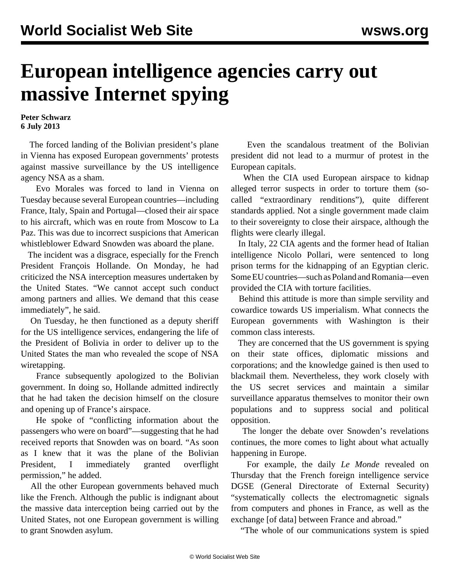## **European intelligence agencies carry out massive Internet spying**

## **Peter Schwarz 6 July 2013**

 The forced landing of the Bolivian president's plane in Vienna has exposed European governments' protests against massive surveillance by the US intelligence agency NSA as a sham.

 Evo Morales was forced to land in Vienna on Tuesday because several European countries—including France, Italy, Spain and Portugal—closed their air space to his aircraft, which was en route from Moscow to La Paz. This was due to incorrect suspicions that American whistleblower Edward Snowden was aboard the plane.

 The incident was a disgrace, especially for the French President François Hollande. On Monday, he had criticized the NSA interception measures undertaken by the United States. "We cannot accept such conduct among partners and allies. We demand that this cease immediately", he said.

 On Tuesday, he then functioned as a deputy sheriff for the US intelligence services, endangering the life of the President of Bolivia in order to deliver up to the United States the man who revealed the scope of NSA wiretapping.

 France subsequently apologized to the Bolivian government. In doing so, Hollande admitted indirectly that he had taken the decision himself on the closure and opening up of France's airspace.

 He spoke of "conflicting information about the passengers who were on board"—suggesting that he had received reports that Snowden was on board. "As soon as I knew that it was the plane of the Bolivian President, I immediately granted overflight permission," he added.

 All the other European governments behaved much like the French. Although the public is indignant about the massive data interception being carried out by the United States, not one European government is willing to grant Snowden asylum.

 Even the scandalous treatment of the Bolivian president did not lead to a murmur of protest in the European capitals.

 When the CIA used European airspace to kidnap alleged terror suspects in order to torture them (socalled "extraordinary renditions"), quite different standards applied. Not a single government made claim to their sovereignty to close their airspace, although the flights were clearly illegal.

 In Italy, 22 CIA agents and the former head of Italian intelligence Nicolo Pollari, were sentenced to long prison terms for the kidnapping of an Egyptian cleric. Some EU countries—such as Poland and Romania—even provided the CIA with torture facilities.

 Behind this attitude is more than simple servility and cowardice towards US imperialism. What connects the European governments with Washington is their common class interests.

 They are concerned that the US government is spying on their state offices, diplomatic missions and corporations; and the knowledge gained is then used to blackmail them. Nevertheless, they work closely with the US secret services and maintain a similar surveillance apparatus themselves to monitor their own populations and to suppress social and political opposition.

 The longer the debate over Snowden's revelations continues, the more comes to light about what actually happening in Europe.

 For example, the daily *Le Monde* revealed on Thursday that the French foreign intelligence service DGSE (General Directorate of External Security) "systematically collects the electromagnetic signals from computers and phones in France, as well as the exchange [of data] between France and abroad."

"The whole of our communications system is spied